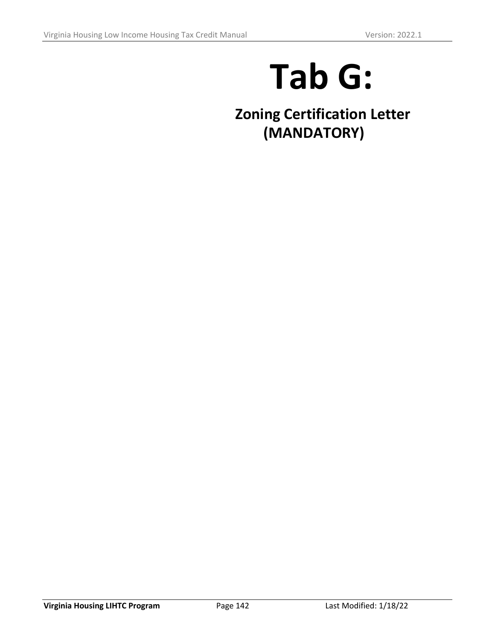# **Tab G:**

**Zoning Certification Letter (MANDATORY)**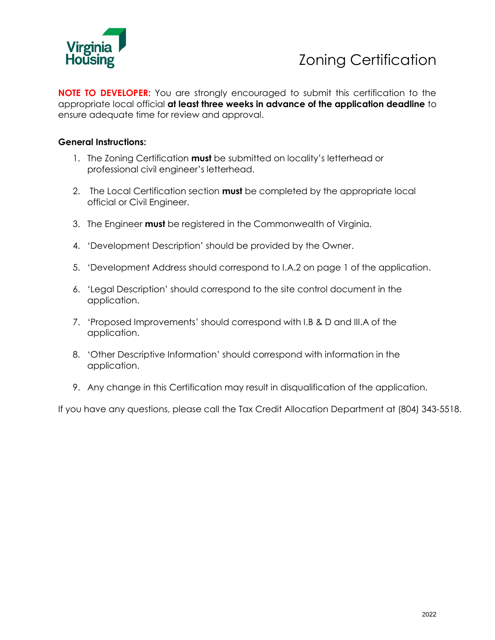

## Zoning Certification

**NOTE TO DEVELOPER:** You are strongly encouraged to submit this certification to the appropriate local official **at least three weeks in advance of the application deadline** to ensure adequate time for review and approval.

#### **General Instructions:**

- 1. The Zoning Certification **must** be submitted on locality's letterhead or professional civil engineer's letterhead.
- 2. The Local Certification section **must** be completed by the appropriate local official or Civil Engineer.
- 3. The Engineer **must** be registered in the Commonwealth of Virginia.
- 4. 'Development Description' should be provided by the Owner.
- 5. 'Development Address should correspond to I.A.2 on page 1 of the application.
- 6. 'Legal Description' should correspond to the site control document in the application.
- 7. 'Proposed Improvements' should correspond with I.B & D and III.A of the application.
- 8. 'Other Descriptive Information' should correspond with information in the application.
- 9. Any change in this Certification may result in disqualification of the application.

If you have any questions, please call the Tax Credit Allocation Department at (804) 343-5518.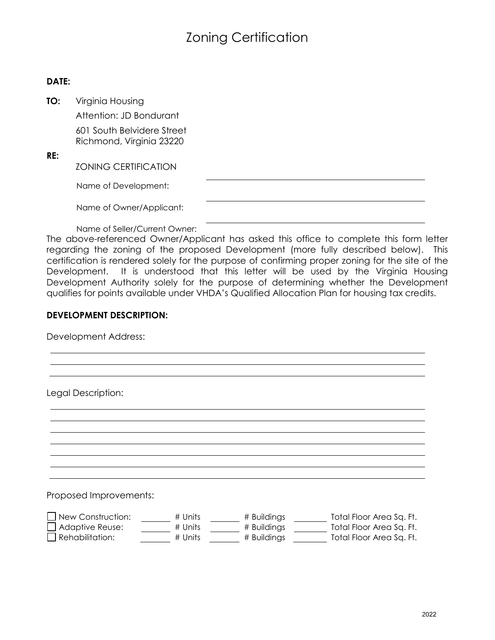### Zoning Certification

#### **DATE:**

**TO:** Virginia Housing

Attention: JD Bondurant

601 South Belvidere Street Richmond, Virginia 23220

**RE:**

ZONING CERTIFICATION

Name of Development:

Name of Owner/Applicant:

Name of Seller/Current Owner:

The above-referenced Owner/Applicant has asked this office to complete this form letter regarding the zoning of the proposed Development (more fully described below). This certification is rendered solely for the purpose of confirming proper zoning for the site of the Development. It is understood that this letter will be used by the Virginia Housing Development Authority solely for the purpose of determining whether the Development qualifies for points available under VHDA's Qualified Allocation Plan for housing tax credits.

#### **DEVELOPMENT DESCRIPTION:**

Development Address:

Legal Description:

Proposed Improvements:

| New Construction: | # Units | # Buildings | Total Floor Area Sq. Ft. |
|-------------------|---------|-------------|--------------------------|
| Adaptive Reuse:   | # Units | # Buildings | Total Floor Area Sq. Ft. |
| Rehabilitation:   | # Units | # Buildings | Total Floor Area Sq. Ft. |